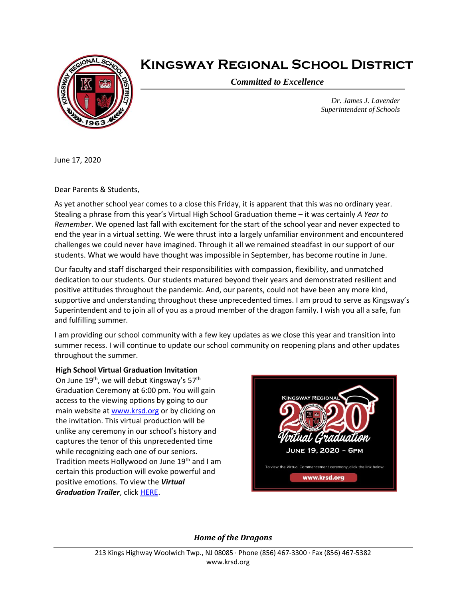

# **Kingsway Regional School District**

*Committed to Excellence*

*Dr. James J. Lavender Superintendent of Schools*

June 17, 2020

Dear Parents & Students,

As yet another school year comes to a close this Friday, it is apparent that this was no ordinary year. Stealing a phrase from this year's Virtual High School Graduation theme – it was certainly *A Year to Remember*. We opened last fall with excitement for the start of the school year and never expected to end the year in a virtual setting. We were thrust into a largely unfamiliar environment and encountered challenges we could never have imagined. Through it all we remained steadfast in our support of our students. What we would have thought was impossible in September, has become routine in June.

Our faculty and staff discharged their responsibilities with compassion, flexibility, and unmatched dedication to our students. Our students matured beyond their years and demonstrated resilient and positive attitudes throughout the pandemic. And, our parents, could not have been any more kind, supportive and understanding throughout these unprecedented times. I am proud to serve as Kingsway's Superintendent and to join all of you as a proud member of the dragon family. I wish you all a safe, fun and fulfilling summer.

I am providing our school community with a few key updates as we close this year and transition into summer recess. I will continue to update our school community on reopening plans and other updates throughout the summer.

#### **High School Virtual Graduation Invitation**

On June 19<sup>th</sup>, we will debut Kingsway's 57<sup>th</sup> Graduation Ceremony at 6:00 pm. You will gain access to the viewing options by going to our main website at [www.krsd.org](http://www.krsd.org/) or by clicking on the invitation. This virtual production will be unlike any ceremony in our school's history and captures the tenor of this unprecedented time while recognizing each one of our seniors. Tradition meets Hollywood on June 19<sup>th</sup> and I am certain this production will evoke powerful and positive emotions. To view the *Virtual Graduation Trailer*, clic[k HERE.](https://ensemble.kingsway.k12.nj.us/hapi/v1/contents/permalinks/f6D4MqAy/view)



#### *Home of the Dragons*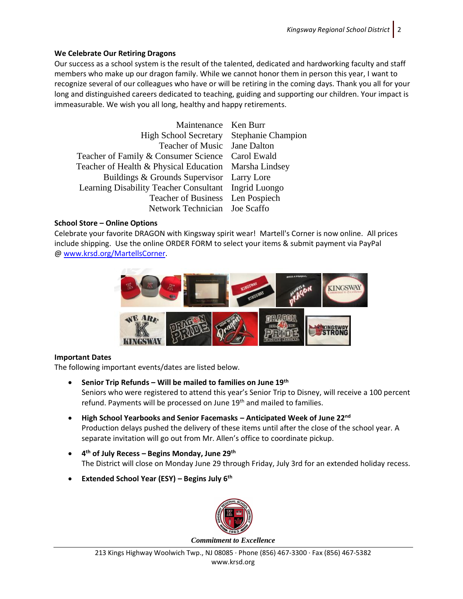## **We Celebrate Our Retiring Dragons**

Our success as a school system is the result of the talented, dedicated and hardworking faculty and staff members who make up our dragon family. While we cannot honor them in person this year, I want to recognize several of our colleagues who have or will be retiring in the coming days. Thank you all for your long and distinguished careers dedicated to teaching, guiding and supporting our children. Your impact is immeasurable. We wish you all long, healthy and happy retirements.

| Maintenance Ken Burr                                  |  |
|-------------------------------------------------------|--|
|                                                       |  |
| High School Secretary Stephanie Champion              |  |
| Teacher of Music Jane Dalton                          |  |
| Teacher of Family & Consumer Science Carol Ewald      |  |
| Teacher of Health & Physical Education Marsha Lindsey |  |
| Buildings & Grounds Supervisor Larry Lore             |  |
| Learning Disability Teacher Consultant Ingrid Luongo  |  |
| Teacher of Business Len Pospiech                      |  |
| Network Technician Joe Scaffo                         |  |

## **School Store – Online Options**

Celebrate your favorite DRAGON with Kingsway spirit wear! Martell's Corner is now online. All prices include shipping. Use the online ORDER FORM to select your items & submit payment via PayPal @ [www.krsd.org/MartellsCorner.](http://www.krsd.org/MartellsCorner)



# **Important Dates**

The following important events/dates are listed below.

- **Senior Trip Refunds – Will be mailed to families on June 19th**  Seniors who were registered to attend this year's Senior Trip to Disney, will receive a 100 percent refund. Payments will be processed on June 19<sup>th</sup> and mailed to families.
- **High School Yearbooks and Senior Facemasks – Anticipated Week of June 22nd** Production delays pushed the delivery of these items until after the close of the school year. A separate invitation will go out from Mr. Allen's office to coordinate pickup.
- **4 th of July Recess – Begins Monday, June 29th** The District will close on Monday June 29 through Friday, July 3rd for an extended holiday recess.
- **Extended School Year (ESY) – Begins July 6th**

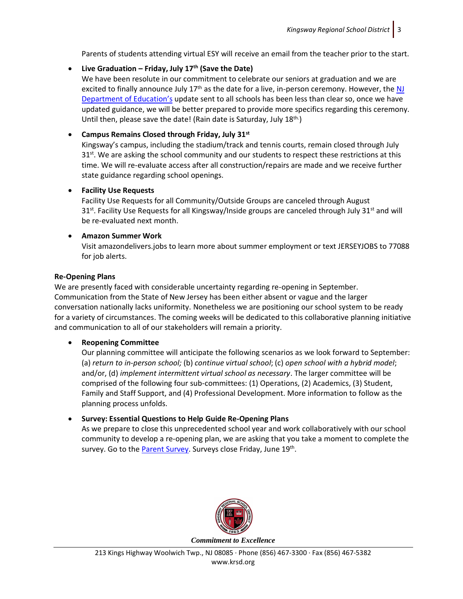Parents of students attending virtual ESY will receive an email from the teacher prior to the start.

## • **Live Graduation – Friday, July 17th (Save the Date)**

We have been resolute in our commitment to celebrate our seniors at graduation and we are excited to finally announce July  $17<sup>th</sup>$  as the date for a live, in-person ceremony. However, the NJ [Department of Education's](https://www.nj.gov/education/broadcasts/2020/may/27/COVID-19%20-%20Update%20on%20New%20Jersey%20Commencement%20Ceremonies.pdf) update sent to all schools has been less than clear so, once we have updated guidance, we will be better prepared to provide more specifics regarding this ceremony. Until then, please save the date! (Rain date is Saturday, July 18<sup>th.</sup>)

## • **Campus Remains Closed through Friday, July 31st**

Kingsway's campus, including the stadium/track and tennis courts, remain closed through July 31<sup>st</sup>. We are asking the school community and our students to respect these restrictions at this time. We will re-evaluate access after all construction/repairs are made and we receive further state guidance regarding school openings.

#### • **Facility Use Requests**

Facility Use Requests for all Community/Outside Groups are canceled through August 31<sup>st</sup>. Facility Use Requests for all Kingsway/Inside groups are canceled through July 31<sup>st</sup> and will be re-evaluated next month.

## • **Amazon Summer Work**

Visit amazondelivers.jobs to learn more about summer employment or text JERSEYJOBS to 77088 for job alerts.

#### **Re-Opening Plans**

We are presently faced with considerable uncertainty regarding re-opening in September. Communication from the State of New Jersey has been either absent or vague and the larger conversation nationally lacks uniformity. Nonetheless we are positioning our school system to be ready for a variety of circumstances. The coming weeks will be dedicated to this collaborative planning initiative and communication to all of our stakeholders will remain a priority.

# • **Reopening Committee**

Our planning committee will anticipate the following scenarios as we look forward to September: (a) *return to in-person school;* (b) *continue virtual school*; (c) *open school with a hybrid model*; and/or, (d) *implement intermittent virtual school as necessary*. The larger committee will be comprised of the following four sub-committees: (1) Operations, (2) Academics, (3) Student, Family and Staff Support, and (4) Professional Development. More information to follow as the planning process unfolds.

# • **Survey: Essential Questions to Help Guide Re-Opening Plans**

As we prepare to close this unprecedented school year and work collaboratively with our school community to develop a re-opening plan, we are asking that you take a moment to complete the survey. Go to the [Parent Survey.](https://www.surveymonkey.com/r/DMB22R2) Surveys close Friday, June 19<sup>th</sup>.